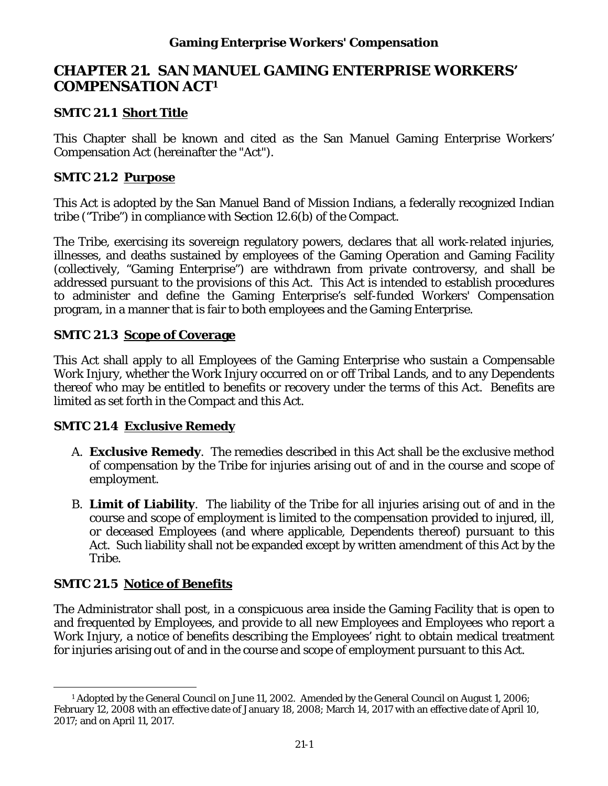# **CHAPTER 21. SAN MANUEL GAMING ENTERPRISE WORKERS' COMPENSATION ACT1**

### **SMTC 21.1 Short Title**

This Chapter shall be known and cited as the San Manuel Gaming Enterprise Workers' Compensation Act (hereinafter the "Act").

### **SMTC 21.2 Purpose**

This Act is adopted by the San Manuel Band of Mission Indians, a federally recognized Indian tribe ("Tribe") in compliance with Section 12.6(b) of the Compact.

The Tribe, exercising its sovereign regulatory powers, declares that all work-related injuries, illnesses, and deaths sustained by employees of the Gaming Operation and Gaming Facility (collectively, "Gaming Enterprise") are withdrawn from private controversy, and shall be addressed pursuant to the provisions of this Act. This Act is intended to establish procedures to administer and define the Gaming Enterprise's self-funded Workers' Compensation program, in a manner that is fair to both employees and the Gaming Enterprise.

### **SMTC 21.3 Scope of Coverage**

This Act shall apply to all Employees of the Gaming Enterprise who sustain a Compensable Work Injury, whether the Work Injury occurred on or off Tribal Lands, and to any Dependents thereof who may be entitled to benefits or recovery under the terms of this Act. Benefits are limited as set forth in the Compact and this Act.

## **SMTC 21.4 Exclusive Remedy**

- A. **Exclusive Remedy**. The remedies described in this Act shall be the exclusive method of compensation by the Tribe for injuries arising out of and in the course and scope of employment.
- B. **Limit of Liability**. The liability of the Tribe for all injuries arising out of and in the course and scope of employment is limited to the compensation provided to injured, ill, or deceased Employees (and where applicable, Dependents thereof) pursuant to this Act. Such liability shall not be expanded except by written amendment of this Act by the Tribe.

## **SMTC 21.5 Notice of Benefits**

The Administrator shall post, in a conspicuous area inside the Gaming Facility that is open to and frequented by Employees, and provide to all new Employees and Employees who report a Work Injury, a notice of benefits describing the Employees' right to obtain medical treatment for injuries arising out of and in the course and scope of employment pursuant to this Act.

 $\overline{a}$ <sup>1</sup> Adopted by the General Council on June 11, 2002. Amended by the General Council on August 1, 2006; February 12, 2008 with an effective date of January 18, 2008; March 14, 2017 with an effective date of April 10, 2017; and on April 11, 2017.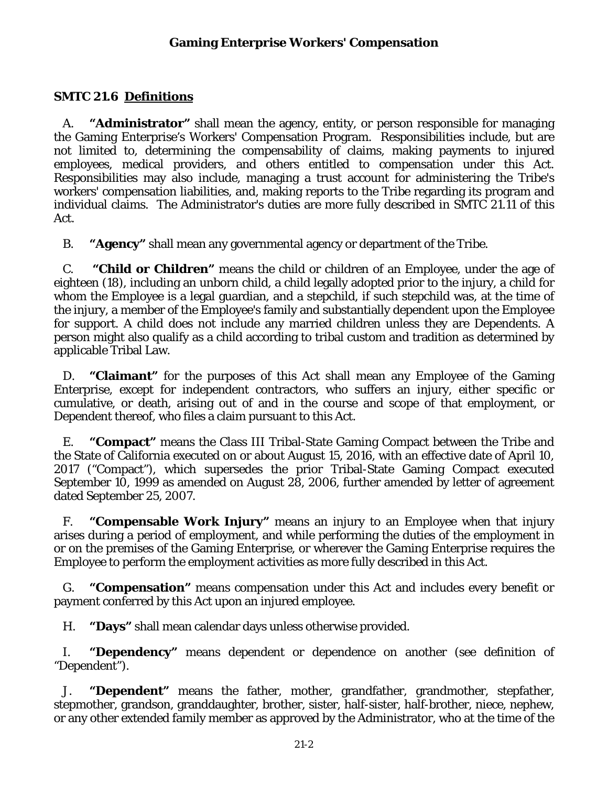#### **SMTC 21.6 Definitions**

A. **"Administrator"** shall mean the agency, entity, or person responsible for managing the Gaming Enterprise's Workers' Compensation Program. Responsibilities include, but are not limited to, determining the compensability of claims, making payments to injured employees, medical providers, and others entitled to compensation under this Act. Responsibilities may also include, managing a trust account for administering the Tribe's workers' compensation liabilities, and, making reports to the Tribe regarding its program and individual claims. The Administrator's duties are more fully described in SMTC 21.11 of this Act.

B. **"Agency"** shall mean any governmental agency or department of the Tribe.

C. **"Child or Children"** means the child or children of an Employee, under the age of eighteen (18), including an unborn child, a child legally adopted prior to the injury, a child for whom the Employee is a legal guardian, and a stepchild, if such stepchild was, at the time of the injury, a member of the Employee's family and substantially dependent upon the Employee for support. A child does not include any married children unless they are Dependents. A person might also qualify as a child according to tribal custom and tradition as determined by applicable Tribal Law.

D. **"Claimant"** for the purposes of this Act shall mean any Employee of the Gaming Enterprise, except for independent contractors, who suffers an injury, either specific or cumulative, or death, arising out of and in the course and scope of that employment, or Dependent thereof, who files a claim pursuant to this Act.

E. **"Compact"** means the Class III Tribal-State Gaming Compact between the Tribe and the State of California executed on or about August 15, 2016, with an effective date of April 10, 2017 ("Compact"), which supersedes the prior Tribal-State Gaming Compact executed September 10, 1999 as amended on August 28, 2006, further amended by letter of agreement dated September 25, 2007.

F. **"Compensable Work Injury"** means an injury to an Employee when that injury arises during a period of employment, and while performing the duties of the employment in or on the premises of the Gaming Enterprise, or wherever the Gaming Enterprise requires the Employee to perform the employment activities as more fully described in this Act.

G. **"Compensation"** means compensation under this Act and includes every benefit or payment conferred by this Act upon an injured employee.

H. **"Days"** shall mean calendar days unless otherwise provided.

I. **"Dependency"** means dependent or dependence on another (see definition of "Dependent").

J. **"Dependent"** means the father, mother, grandfather, grandmother, stepfather, stepmother, grandson, granddaughter, brother, sister, half-sister, half-brother, niece, nephew, or any other extended family member as approved by the Administrator, who at the time of the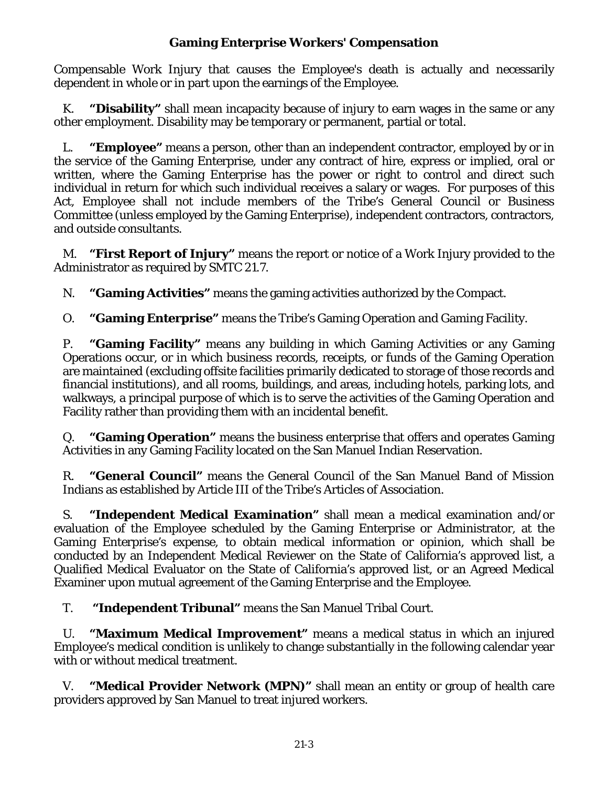Compensable Work Injury that causes the Employee's death is actually and necessarily dependent in whole or in part upon the earnings of the Employee.

K. **"Disability"** shall mean incapacity because of injury to earn wages in the same or any other employment. Disability may be temporary or permanent, partial or total.

L. **"Employee"** means a person, other than an independent contractor, employed by or in the service of the Gaming Enterprise, under any contract of hire, express or implied, oral or written, where the Gaming Enterprise has the power or right to control and direct such individual in return for which such individual receives a salary or wages. For purposes of this Act, Employee shall not include members of the Tribe's General Council or Business Committee (unless employed by the Gaming Enterprise), independent contractors, contractors, and outside consultants.

M. **"First Report of Injury"** means the report or notice of a Work Injury provided to the Administrator as required by SMTC 21.7.

N. **"Gaming Activities"** means the gaming activities authorized by the Compact.

O. **"Gaming Enterprise"** means the Tribe's Gaming Operation and Gaming Facility.

P. **"Gaming Facility"** means any building in which Gaming Activities or any Gaming Operations occur, or in which business records, receipts, or funds of the Gaming Operation are maintained (excluding offsite facilities primarily dedicated to storage of those records and financial institutions), and all rooms, buildings, and areas, including hotels, parking lots, and walkways, a principal purpose of which is to serve the activities of the Gaming Operation and Facility rather than providing them with an incidental benefit.

Q. **"Gaming Operation"** means the business enterprise that offers and operates Gaming Activities in any Gaming Facility located on the San Manuel Indian Reservation.

R. **"General Council"** means the General Council of the San Manuel Band of Mission Indians as established by Article III of the Tribe's Articles of Association.

S. **"Independent Medical Examination"** shall mean a medical examination and/or evaluation of the Employee scheduled by the Gaming Enterprise or Administrator, at the Gaming Enterprise's expense, to obtain medical information or opinion, which shall be conducted by an Independent Medical Reviewer on the State of California's approved list, a Qualified Medical Evaluator on the State of California's approved list, or an Agreed Medical Examiner upon mutual agreement of the Gaming Enterprise and the Employee.

T. **"Independent Tribunal"** means the San Manuel Tribal Court.

U. **"Maximum Medical Improvement"** means a medical status in which an injured Employee's medical condition is unlikely to change substantially in the following calendar year with or without medical treatment.

V. **"Medical Provider Network (MPN)"** shall mean an entity or group of health care providers approved by San Manuel to treat injured workers.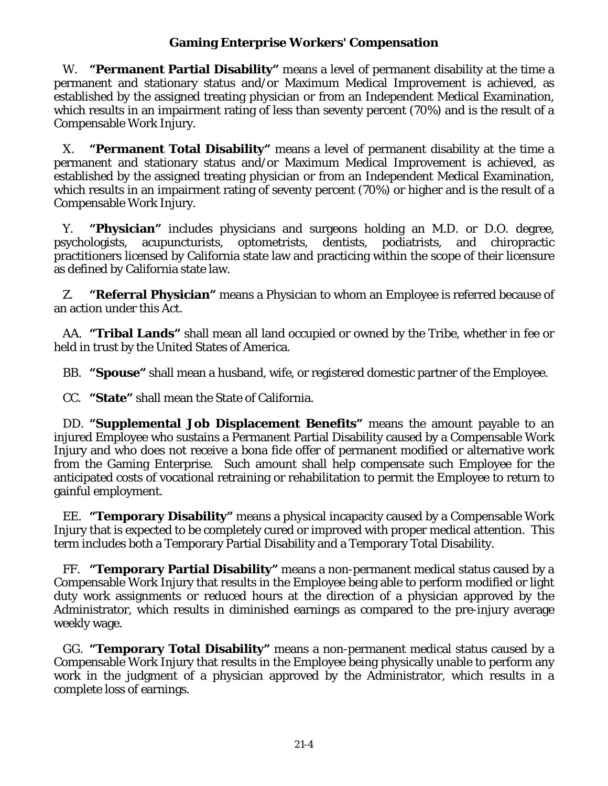W. **"Permanent Partial Disability"** means a level of permanent disability at the time a permanent and stationary status and/or Maximum Medical Improvement is achieved, as established by the assigned treating physician or from an Independent Medical Examination, which results in an impairment rating of less than seventy percent (70%) and is the result of a Compensable Work Injury.

X. **"Permanent Total Disability"** means a level of permanent disability at the time a permanent and stationary status and/or Maximum Medical Improvement is achieved, as established by the assigned treating physician or from an Independent Medical Examination, which results in an impairment rating of seventy percent (70%) or higher and is the result of a Compensable Work Injury.

Y. **"Physician"** includes physicians and surgeons holding an M.D. or D.O. degree, psychologists, acupuncturists, optometrists, dentists, podiatrists, and chiropractic practitioners licensed by California state law and practicing within the scope of their licensure as defined by California state law.

Z. **"Referral Physician"** means a Physician to whom an Employee is referred because of an action under this Act.

AA. **"Tribal Lands"** shall mean all land occupied or owned by the Tribe, whether in fee or held in trust by the United States of America.

BB. **"Spouse"** shall mean a husband, wife, or registered domestic partner of the Employee.

CC. **"State"** shall mean the State of California.

DD. **"Supplemental Job Displacement Benefits"** means the amount payable to an injured Employee who sustains a Permanent Partial Disability caused by a Compensable Work Injury and who does not receive a bona fide offer of permanent modified or alternative work from the Gaming Enterprise. Such amount shall help compensate such Employee for the anticipated costs of vocational retraining or rehabilitation to permit the Employee to return to gainful employment.

EE. **"Temporary Disability"** means a physical incapacity caused by a Compensable Work Injury that is expected to be completely cured or improved with proper medical attention. This term includes both a Temporary Partial Disability and a Temporary Total Disability.

FF. **"Temporary Partial Disability"** means a non-permanent medical status caused by a Compensable Work Injury that results in the Employee being able to perform modified or light duty work assignments or reduced hours at the direction of a physician approved by the Administrator, which results in diminished earnings as compared to the pre-injury average weekly wage.

GG. **"Temporary Total Disability"** means a non-permanent medical status caused by a Compensable Work Injury that results in the Employee being physically unable to perform any work in the judgment of a physician approved by the Administrator, which results in a complete loss of earnings.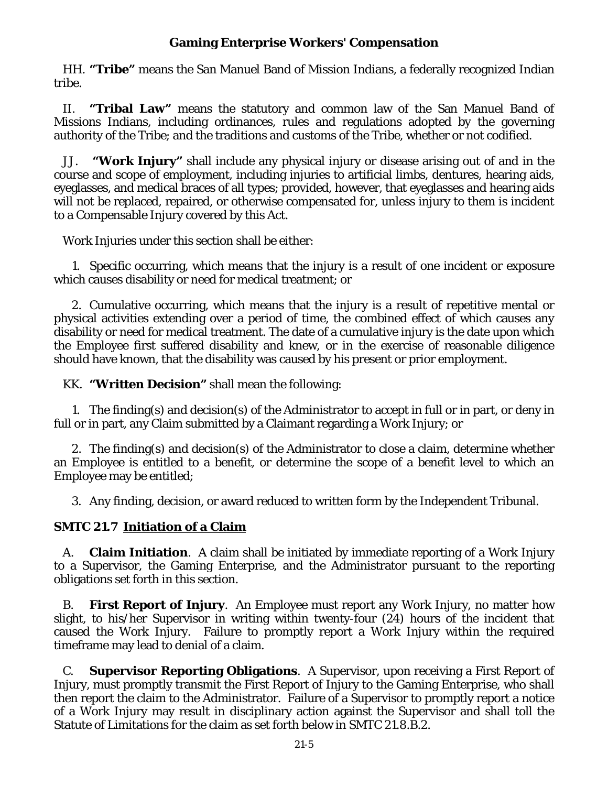HH. **"Tribe"** means the San Manuel Band of Mission Indians, a federally recognized Indian tribe.

II. **"Tribal Law"** means the statutory and common law of the San Manuel Band of Missions Indians, including ordinances, rules and regulations adopted by the governing authority of the Tribe; and the traditions and customs of the Tribe, whether or not codified.

JJ. **"Work Injury"** shall include any physical injury or disease arising out of and in the course and scope of employment, including injuries to artificial limbs, dentures, hearing aids, eyeglasses, and medical braces of all types; provided, however, that eyeglasses and hearing aids will not be replaced, repaired, or otherwise compensated for, unless injury to them is incident to a Compensable Injury covered by this Act.

Work Injuries under this section shall be either:

1. Specific occurring, which means that the injury is a result of one incident or exposure which causes disability or need for medical treatment; or

2. Cumulative occurring, which means that the injury is a result of repetitive mental or physical activities extending over a period of time, the combined effect of which causes any disability or need for medical treatment. The date of a cumulative injury is the date upon which the Employee first suffered disability and knew, or in the exercise of reasonable diligence should have known, that the disability was caused by his present or prior employment.

KK. **"Written Decision"** shall mean the following:

1. The finding(s) and decision(s) of the Administrator to accept in full or in part, or deny in full or in part, any Claim submitted by a Claimant regarding a Work Injury; or

2. The finding(s) and decision(s) of the Administrator to close a claim, determine whether an Employee is entitled to a benefit, or determine the scope of a benefit level to which an Employee may be entitled;

3. Any finding, decision, or award reduced to written form by the Independent Tribunal.

#### **SMTC 21.7 Initiation of a Claim**

A. **Claim Initiation**. A claim shall be initiated by immediate reporting of a Work Injury to a Supervisor, the Gaming Enterprise, and the Administrator pursuant to the reporting obligations set forth in this section.

B. **First Report of Injury**. An Employee must report any Work Injury, no matter how slight, to his/her Supervisor in writing within twenty-four (24) hours of the incident that caused the Work Injury. Failure to promptly report a Work Injury within the required timeframe may lead to denial of a claim.

C. **Supervisor Reporting Obligations**. A Supervisor, upon receiving a First Report of Injury, must promptly transmit the First Report of Injury to the Gaming Enterprise, who shall then report the claim to the Administrator. Failure of a Supervisor to promptly report a notice of a Work Injury may result in disciplinary action against the Supervisor and shall toll the Statute of Limitations for the claim as set forth below in SMTC 21.8.B.2.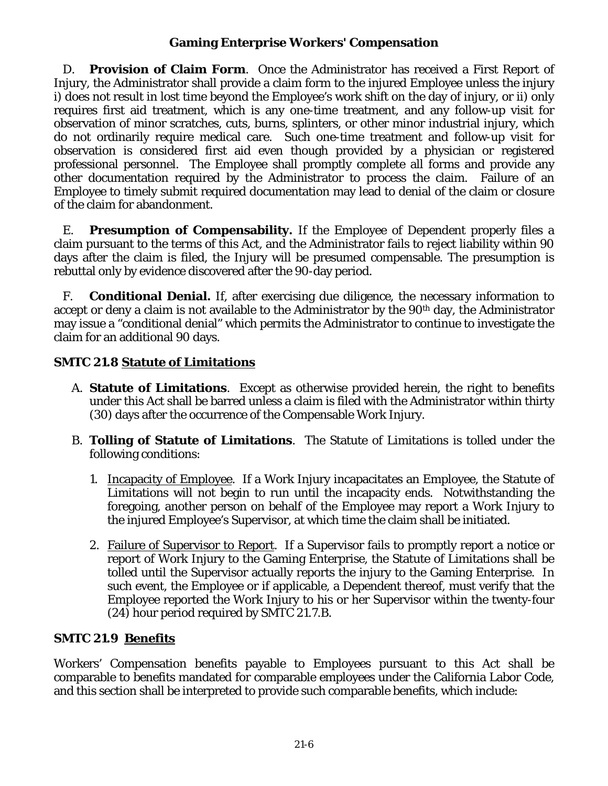D. **Provision of Claim Form**. Once the Administrator has received a First Report of Injury, the Administrator shall provide a claim form to the injured Employee unless the injury i) does not result in lost time beyond the Employee's work shift on the day of injury, or ii) only requires first aid treatment, which is any one-time treatment, and any follow-up visit for observation of minor scratches, cuts, burns, splinters, or other minor industrial injury, which do not ordinarily require medical care. Such one-time treatment and follow-up visit for observation is considered first aid even though provided by a physician or registered professional personnel. The Employee shall promptly complete all forms and provide any other documentation required by the Administrator to process the claim. Failure of an Employee to timely submit required documentation may lead to denial of the claim or closure of the claim for abandonment.

E. **Presumption of Compensability.** If the Employee of Dependent properly files a claim pursuant to the terms of this Act, and the Administrator fails to reject liability within 90 days after the claim is filed, the Injury will be presumed compensable. The presumption is rebuttal only by evidence discovered after the 90-day period.

F. **Conditional Denial.** If, after exercising due diligence, the necessary information to accept or deny a claim is not available to the Administrator by the 90<sup>th</sup> day, the Administrator may issue a "conditional denial" which permits the Administrator to continue to investigate the claim for an additional 90 days.

## **SMTC 21.8 Statute of Limitations**

- A. **Statute of Limitations**. Except as otherwise provided herein, the right to benefits under this Act shall be barred unless a claim is filed with the Administrator within thirty (30) days after the occurrence of the Compensable Work Injury.
- B. **Tolling of Statute of Limitations**. The Statute of Limitations is tolled under the following conditions:
	- 1. Incapacity of Employee. If a Work Injury incapacitates an Employee, the Statute of Limitations will not begin to run until the incapacity ends. Notwithstanding the foregoing, another person on behalf of the Employee may report a Work Injury to the injured Employee's Supervisor, at which time the claim shall be initiated.
	- 2. Failure of Supervisor to Report. If a Supervisor fails to promptly report a notice or report of Work Injury to the Gaming Enterprise, the Statute of Limitations shall be tolled until the Supervisor actually reports the injury to the Gaming Enterprise. In such event, the Employee or if applicable, a Dependent thereof, must verify that the Employee reported the Work Injury to his or her Supervisor within the twenty-four (24) hour period required by SMTC 21.7.B.

# **SMTC 21.9 Benefits**

Workers' Compensation benefits payable to Employees pursuant to this Act shall be comparable to benefits mandated for comparable employees under the California Labor Code, and this section shall be interpreted to provide such comparable benefits, which include: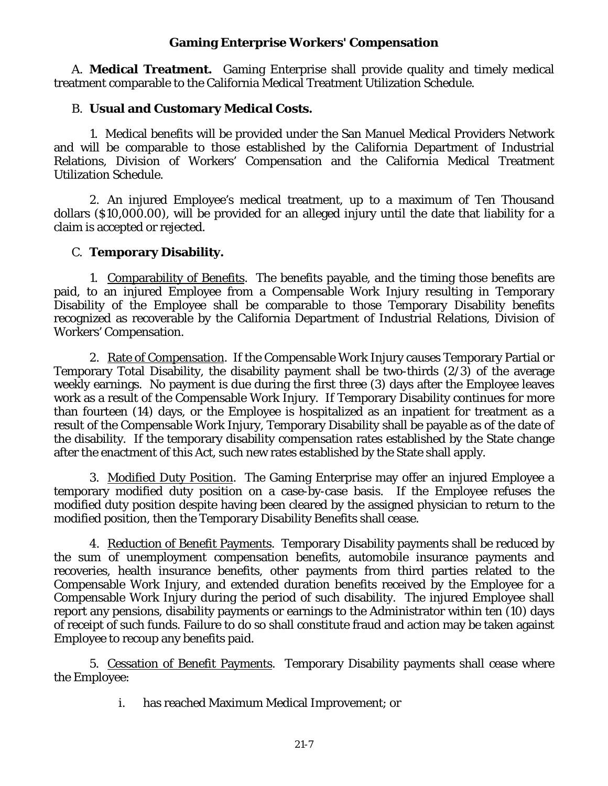A. **Medical Treatment.** Gaming Enterprise shall provide quality and timely medical treatment comparable to the California Medical Treatment Utilization Schedule.

### B. **Usual and Customary Medical Costs.**

1. Medical benefits will be provided under the San Manuel Medical Providers Network and will be comparable to those established by the California Department of Industrial Relations, Division of Workers' Compensation and the California Medical Treatment Utilization Schedule.

2. An injured Employee's medical treatment, up to a maximum of Ten Thousand dollars (\$10,000.00), will be provided for an alleged injury until the date that liability for a claim is accepted or rejected.

### C. **Temporary Disability.**

1. Comparability of Benefits. The benefits payable, and the timing those benefits are paid, to an injured Employee from a Compensable Work Injury resulting in Temporary Disability of the Employee shall be comparable to those Temporary Disability benefits recognized as recoverable by the California Department of Industrial Relations, Division of Workers' Compensation.

2. Rate of Compensation. If the Compensable Work Injury causes Temporary Partial or Temporary Total Disability, the disability payment shall be two-thirds (2/3) of the average weekly earnings. No payment is due during the first three (3) days after the Employee leaves work as a result of the Compensable Work Injury. If Temporary Disability continues for more than fourteen (14) days, or the Employee is hospitalized as an inpatient for treatment as a result of the Compensable Work Injury, Temporary Disability shall be payable as of the date of the disability. If the temporary disability compensation rates established by the State change after the enactment of this Act, such new rates established by the State shall apply.

3. Modified Duty Position. The Gaming Enterprise may offer an injured Employee a temporary modified duty position on a case-by-case basis. If the Employee refuses the modified duty position despite having been cleared by the assigned physician to return to the modified position, then the Temporary Disability Benefits shall cease.

4. Reduction of Benefit Payments. Temporary Disability payments shall be reduced by the sum of unemployment compensation benefits, automobile insurance payments and recoveries, health insurance benefits, other payments from third parties related to the Compensable Work Injury, and extended duration benefits received by the Employee for a Compensable Work Injury during the period of such disability. The injured Employee shall report any pensions, disability payments or earnings to the Administrator within ten (10) days of receipt of such funds. Failure to do so shall constitute fraud and action may be taken against Employee to recoup any benefits paid.

5. Cessation of Benefit Payments. Temporary Disability payments shall cease where the Employee:

i. has reached Maximum Medical Improvement; or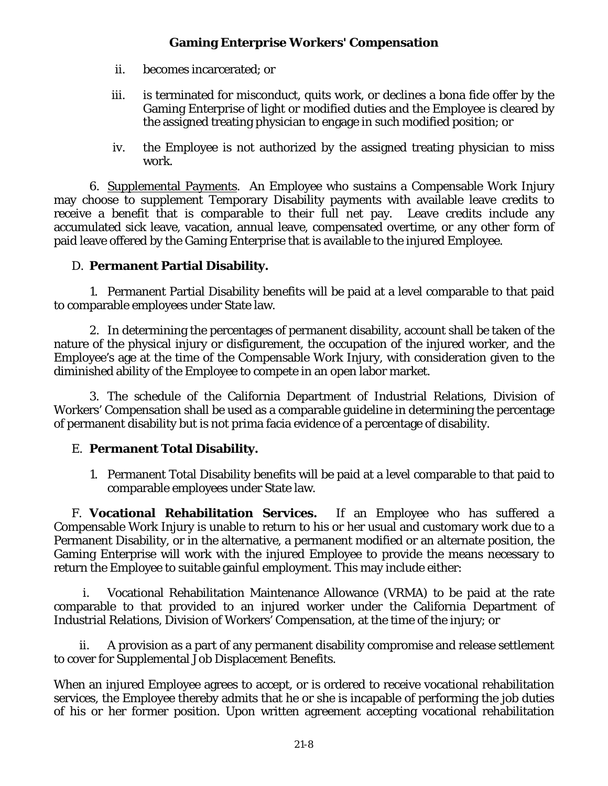- ii. becomes incarcerated; or
- iii. is terminated for misconduct, quits work, or declines a bona fide offer by the Gaming Enterprise of light or modified duties and the Employee is cleared by the assigned treating physician to engage in such modified position; or
- iv. the Employee is not authorized by the assigned treating physician to miss work.

6. Supplemental Payments. An Employee who sustains a Compensable Work Injury may choose to supplement Temporary Disability payments with available leave credits to receive a benefit that is comparable to their full net pay. Leave credits include any accumulated sick leave, vacation, annual leave, compensated overtime, or any other form of paid leave offered by the Gaming Enterprise that is available to the injured Employee.

## D. **Permanent Partial Disability.**

1. Permanent Partial Disability benefits will be paid at a level comparable to that paid to comparable employees under State law.

2. In determining the percentages of permanent disability, account shall be taken of the nature of the physical injury or disfigurement, the occupation of the injured worker, and the Employee's age at the time of the Compensable Work Injury, with consideration given to the diminished ability of the Employee to compete in an open labor market.

3. The schedule of the California Department of Industrial Relations, Division of Workers' Compensation shall be used as a comparable guideline in determining the percentage of permanent disability but is not prima facia evidence of a percentage of disability.

## E. **Permanent Total Disability.**

1. Permanent Total Disability benefits will be paid at a level comparable to that paid to comparable employees under State law.

F. **Vocational Rehabilitation Services.** If an Employee who has suffered a Compensable Work Injury is unable to return to his or her usual and customary work due to a Permanent Disability, or in the alternative, a permanent modified or an alternate position, the Gaming Enterprise will work with the injured Employee to provide the means necessary to return the Employee to suitable gainful employment. This may include either:

i. Vocational Rehabilitation Maintenance Allowance (VRMA) to be paid at the rate comparable to that provided to an injured worker under the California Department of Industrial Relations, Division of Workers' Compensation, at the time of the injury; or

ii. A provision as a part of any permanent disability compromise and release settlement to cover for Supplemental Job Displacement Benefits.

When an injured Employee agrees to accept, or is ordered to receive vocational rehabilitation services, the Employee thereby admits that he or she is incapable of performing the job duties of his or her former position. Upon written agreement accepting vocational rehabilitation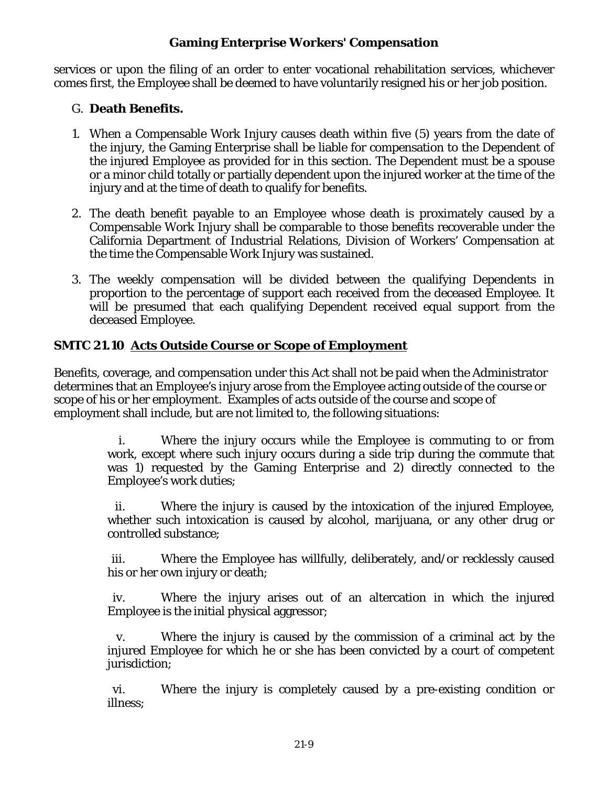services or upon the filing of an order to enter vocational rehabilitation services, whichever comes first, the Employee shall be deemed to have voluntarily resigned his or her job position.

## G. **Death Benefits.**

- 1. When a Compensable Work Injury causes death within five (5) years from the date of the injury, the Gaming Enterprise shall be liable for compensation to the Dependent of the injured Employee as provided for in this section. The Dependent must be a spouse or a minor child totally or partially dependent upon the injured worker at the time of the injury and at the time of death to qualify for benefits.
- 2. The death benefit payable to an Employee whose death is proximately caused by a Compensable Work Injury shall be comparable to those benefits recoverable under the California Department of Industrial Relations, Division of Workers' Compensation at the time the Compensable Work Injury was sustained.
- 3. The weekly compensation will be divided between the qualifying Dependents in proportion to the percentage of support each received from the deceased Employee. It will be presumed that each qualifying Dependent received equal support from the deceased Employee.

# **SMTC 21.10 Acts Outside Course or Scope of Employment**

Benefits, coverage, and compensation under this Act shall not be paid when the Administrator determines that an Employee's injury arose from the Employee acting outside of the course or scope of his or her employment. Examples of acts outside of the course and scope of employment shall include, but are not limited to, the following situations:

> i. Where the injury occurs while the Employee is commuting to or from work, except where such injury occurs during a side trip during the commute that was 1) requested by the Gaming Enterprise and 2) directly connected to the Employee's work duties;

> ii. Where the injury is caused by the intoxication of the injured Employee, whether such intoxication is caused by alcohol, marijuana, or any other drug or controlled substance;

> iii. Where the Employee has willfully, deliberately, and/or recklessly caused his or her own injury or death;

> iv. Where the injury arises out of an altercation in which the injured Employee is the initial physical aggressor;

> v. Where the injury is caused by the commission of a criminal act by the injured Employee for which he or she has been convicted by a court of competent jurisdiction;

> vi. Where the injury is completely caused by a pre-existing condition or illness;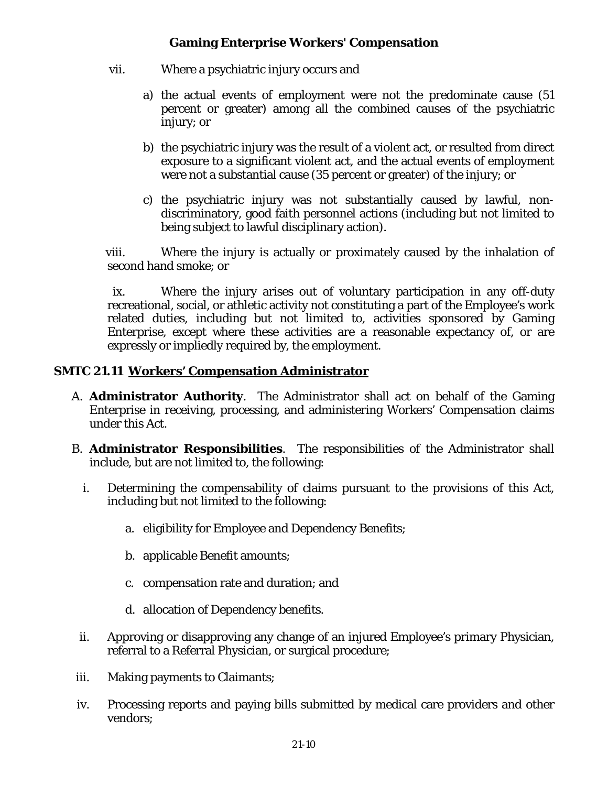- vii. Where a psychiatric injury occurs and
	- a) the actual events of employment were not the predominate cause (51 percent or greater) among all the combined causes of the psychiatric injury; or
	- b) the psychiatric injury was the result of a violent act, or resulted from direct exposure to a significant violent act, and the actual events of employment were not a substantial cause (35 percent or greater) of the injury; or
	- c) the psychiatric injury was not substantially caused by lawful, nondiscriminatory, good faith personnel actions (including but not limited to being subject to lawful disciplinary action).

viii. Where the injury is actually or proximately caused by the inhalation of second hand smoke; or

ix. Where the injury arises out of voluntary participation in any off-duty recreational, social, or athletic activity not constituting a part of the Employee's work related duties, including but not limited to, activities sponsored by Gaming Enterprise, except where these activities are a reasonable expectancy of, or are expressly or impliedly required by, the employment.

### **SMTC 21.11 Workers' Compensation Administrator**

- A. **Administrator Authority**. The Administrator shall act on behalf of the Gaming Enterprise in receiving, processing, and administering Workers' Compensation claims under this Act.
- B. **Administrator Responsibilities**. The responsibilities of the Administrator shall include, but are not limited to, the following:
	- i. Determining the compensability of claims pursuant to the provisions of this Act, including but not limited to the following:
		- a. eligibility for Employee and Dependency Benefits;
		- b. applicable Benefit amounts;
		- c. compensation rate and duration; and
		- d. allocation of Dependency benefits.
	- ii. Approving or disapproving any change of an injured Employee's primary Physician, referral to a Referral Physician, or surgical procedure;
- iii. Making payments to Claimants;
- iv. Processing reports and paying bills submitted by medical care providers and other vendors;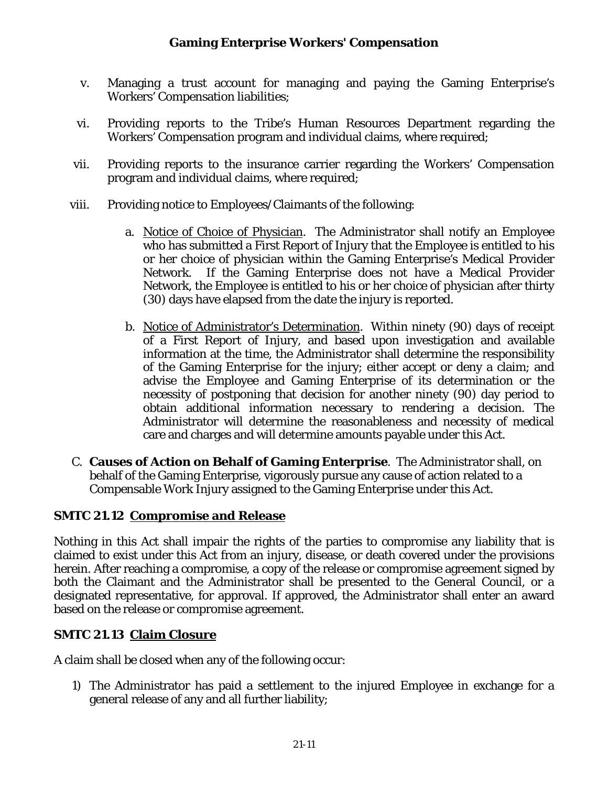- v. Managing a trust account for managing and paying the Gaming Enterprise's Workers' Compensation liabilities;
- vi. Providing reports to the Tribe's Human Resources Department regarding the Workers' Compensation program and individual claims, where required;
- vii. Providing reports to the insurance carrier regarding the Workers' Compensation program and individual claims, where required;
- viii. Providing notice to Employees/Claimants of the following:
	- a. Notice of Choice of Physician. The Administrator shall notify an Employee who has submitted a First Report of Injury that the Employee is entitled to his or her choice of physician within the Gaming Enterprise's Medical Provider Network. If the Gaming Enterprise does not have a Medical Provider Network, the Employee is entitled to his or her choice of physician after thirty (30) days have elapsed from the date the injury is reported.
	- b. Notice of Administrator's Determination. Within ninety (90) days of receipt of a First Report of Injury, and based upon investigation and available information at the time, the Administrator shall determine the responsibility of the Gaming Enterprise for the injury; either accept or deny a claim; and advise the Employee and Gaming Enterprise of its determination or the necessity of postponing that decision for another ninety (90) day period to obtain additional information necessary to rendering a decision. The Administrator will determine the reasonableness and necessity of medical care and charges and will determine amounts payable under this Act.
- C. **Causes of Action on Behalf of Gaming Enterprise**. The Administrator shall, on behalf of the Gaming Enterprise, vigorously pursue any cause of action related to a Compensable Work Injury assigned to the Gaming Enterprise under this Act.

## **SMTC 21.12 Compromise and Release**

Nothing in this Act shall impair the rights of the parties to compromise any liability that is claimed to exist under this Act from an injury, disease, or death covered under the provisions herein. After reaching a compromise, a copy of the release or compromise agreement signed by both the Claimant and the Administrator shall be presented to the General Council, or a designated representative, for approval. If approved, the Administrator shall enter an award based on the release or compromise agreement.

## **SMTC 21.13 Claim Closure**

A claim shall be closed when any of the following occur:

1) The Administrator has paid a settlement to the injured Employee in exchange for a general release of any and all further liability;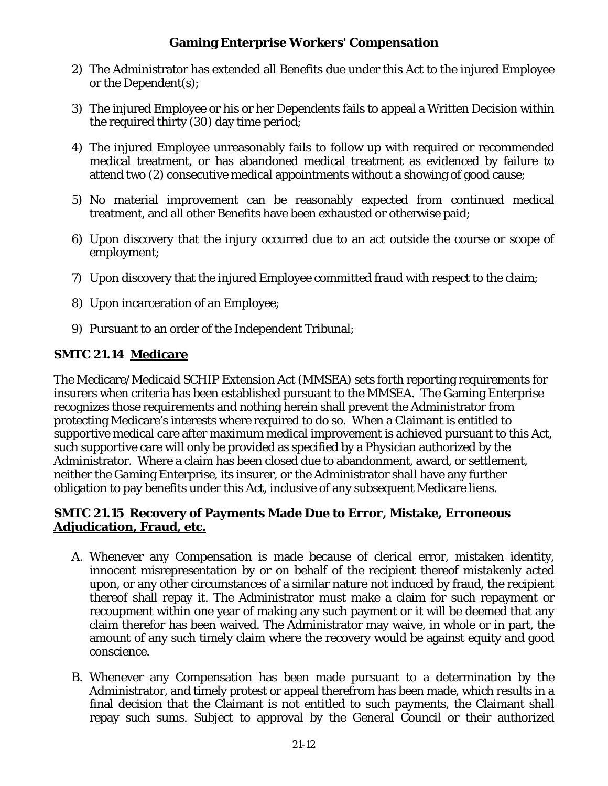- 2) The Administrator has extended all Benefits due under this Act to the injured Employee or the Dependent(s);
- 3) The injured Employee or his or her Dependents fails to appeal a Written Decision within the required thirty (30) day time period;
- 4) The injured Employee unreasonably fails to follow up with required or recommended medical treatment, or has abandoned medical treatment as evidenced by failure to attend two (2) consecutive medical appointments without a showing of good cause;
- 5) No material improvement can be reasonably expected from continued medical treatment, and all other Benefits have been exhausted or otherwise paid;
- 6) Upon discovery that the injury occurred due to an act outside the course or scope of employment;
- 7) Upon discovery that the injured Employee committed fraud with respect to the claim;
- 8) Upon incarceration of an Employee;
- 9) Pursuant to an order of the Independent Tribunal;

## **SMTC 21.14 Medicare**

The Medicare/Medicaid SCHIP Extension Act (MMSEA) sets forth reporting requirements for insurers when criteria has been established pursuant to the MMSEA. The Gaming Enterprise recognizes those requirements and nothing herein shall prevent the Administrator from protecting Medicare's interests where required to do so. When a Claimant is entitled to supportive medical care after maximum medical improvement is achieved pursuant to this Act, such supportive care will only be provided as specified by a Physician authorized by the Administrator. Where a claim has been closed due to abandonment, award, or settlement, neither the Gaming Enterprise, its insurer, or the Administrator shall have any further obligation to pay benefits under this Act, inclusive of any subsequent Medicare liens.

### **SMTC 21.15 Recovery of Payments Made Due to Error, Mistake, Erroneous Adjudication, Fraud, etc.**

- A. Whenever any Compensation is made because of clerical error, mistaken identity, innocent misrepresentation by or on behalf of the recipient thereof mistakenly acted upon, or any other circumstances of a similar nature not induced by fraud, the recipient thereof shall repay it. The Administrator must make a claim for such repayment or recoupment within one year of making any such payment or it will be deemed that any claim therefor has been waived. The Administrator may waive, in whole or in part, the amount of any such timely claim where the recovery would be against equity and good conscience.
- B. Whenever any Compensation has been made pursuant to a determination by the Administrator, and timely protest or appeal therefrom has been made, which results in a final decision that the Claimant is not entitled to such payments, the Claimant shall repay such sums. Subject to approval by the General Council or their authorized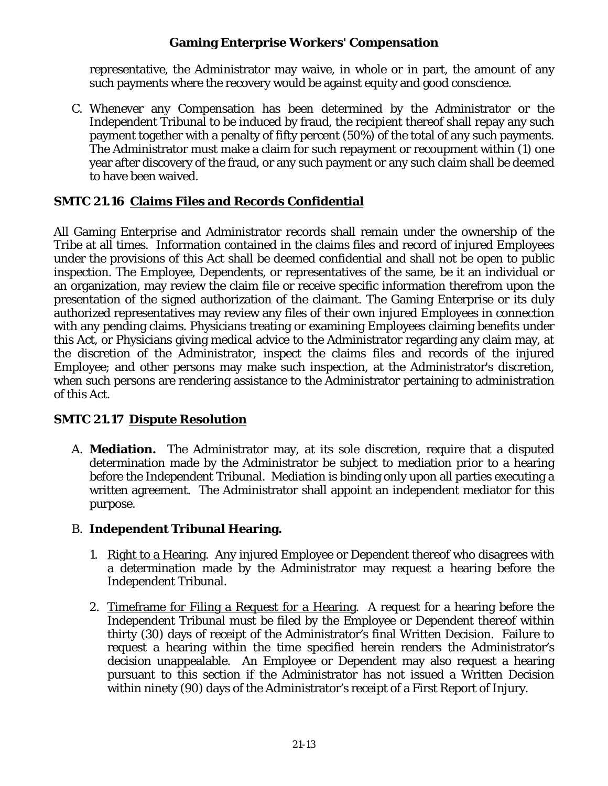representative, the Administrator may waive, in whole or in part, the amount of any such payments where the recovery would be against equity and good conscience.

C. Whenever any Compensation has been determined by the Administrator or the Independent Tribunal to be induced by fraud, the recipient thereof shall repay any such payment together with a penalty of fifty percent (50%) of the total of any such payments. The Administrator must make a claim for such repayment or recoupment within (1) one year after discovery of the fraud, or any such payment or any such claim shall be deemed to have been waived.

## **SMTC 21.16 Claims Files and Records Confidential**

All Gaming Enterprise and Administrator records shall remain under the ownership of the Tribe at all times. Information contained in the claims files and record of injured Employees under the provisions of this Act shall be deemed confidential and shall not be open to public inspection. The Employee, Dependents, or representatives of the same, be it an individual or an organization, may review the claim file or receive specific information therefrom upon the presentation of the signed authorization of the claimant. The Gaming Enterprise or its duly authorized representatives may review any files of their own injured Employees in connection with any pending claims. Physicians treating or examining Employees claiming benefits under this Act, or Physicians giving medical advice to the Administrator regarding any claim may, at the discretion of the Administrator, inspect the claims files and records of the injured Employee; and other persons may make such inspection, at the Administrator's discretion, when such persons are rendering assistance to the Administrator pertaining to administration of this Act.

## **SMTC 21.17 Dispute Resolution**

A. **Mediation.** The Administrator may, at its sole discretion, require that a disputed determination made by the Administrator be subject to mediation prior to a hearing before the Independent Tribunal. Mediation is binding only upon all parties executing a written agreement. The Administrator shall appoint an independent mediator for this purpose.

## B. **Independent Tribunal Hearing.**

- 1. Right to a Hearing. Any injured Employee or Dependent thereof who disagrees with a determination made by the Administrator may request a hearing before the Independent Tribunal.
- 2. Timeframe for Filing a Request for a Hearing. A request for a hearing before the Independent Tribunal must be filed by the Employee or Dependent thereof within thirty (30) days of receipt of the Administrator's final Written Decision. Failure to request a hearing within the time specified herein renders the Administrator's decision unappealable. An Employee or Dependent may also request a hearing pursuant to this section if the Administrator has not issued a Written Decision within ninety (90) days of the Administrator's receipt of a First Report of Injury.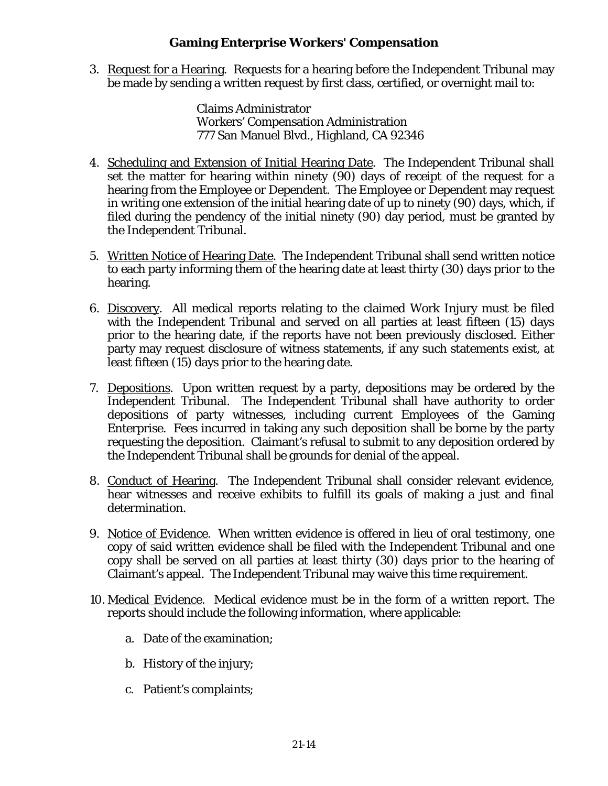3. Request for a Hearing. Requests for a hearing before the Independent Tribunal may be made by sending a written request by first class, certified, or overnight mail to:

> Claims Administrator Workers' Compensation Administration 777 San Manuel Blvd., Highland, CA 92346

- 4. Scheduling and Extension of Initial Hearing Date. The Independent Tribunal shall set the matter for hearing within ninety (90) days of receipt of the request for a hearing from the Employee or Dependent. The Employee or Dependent may request in writing one extension of the initial hearing date of up to ninety (90) days, which, if filed during the pendency of the initial ninety (90) day period, must be granted by the Independent Tribunal.
- 5. Written Notice of Hearing Date. The Independent Tribunal shall send written notice to each party informing them of the hearing date at least thirty (30) days prior to the hearing.
- 6. Discovery. All medical reports relating to the claimed Work Injury must be filed with the Independent Tribunal and served on all parties at least fifteen (15) days prior to the hearing date, if the reports have not been previously disclosed. Either party may request disclosure of witness statements, if any such statements exist, at least fifteen (15) days prior to the hearing date.
- 7. Depositions. Upon written request by a party, depositions may be ordered by the Independent Tribunal. The Independent Tribunal shall have authority to order depositions of party witnesses, including current Employees of the Gaming Enterprise. Fees incurred in taking any such deposition shall be borne by the party requesting the deposition. Claimant's refusal to submit to any deposition ordered by the Independent Tribunal shall be grounds for denial of the appeal.
- 8. Conduct of Hearing. The Independent Tribunal shall consider relevant evidence, hear witnesses and receive exhibits to fulfill its goals of making a just and final determination.
- 9. Notice of Evidence. When written evidence is offered in lieu of oral testimony, one copy of said written evidence shall be filed with the Independent Tribunal and one copy shall be served on all parties at least thirty (30) days prior to the hearing of Claimant's appeal. The Independent Tribunal may waive this time requirement.
- 10. Medical Evidence. Medical evidence must be in the form of a written report. The reports should include the following information, where applicable:
	- a. Date of the examination;
	- b. History of the injury;
	- c. Patient's complaints;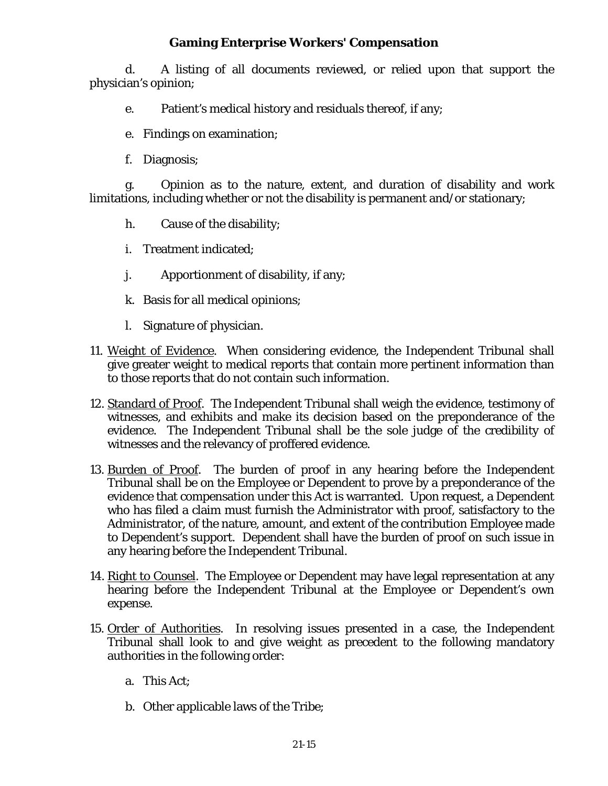d. A listing of all documents reviewed, or relied upon that support the physician's opinion;

- e. Patient's medical history and residuals thereof, if any;
- e. Findings on examination;
- f. Diagnosis;

g. Opinion as to the nature, extent, and duration of disability and work limitations, including whether or not the disability is permanent and/or stationary;

- h. Cause of the disability;
- i. Treatment indicated;
- j. Apportionment of disability, if any;
- k. Basis for all medical opinions;
- l. Signature of physician.
- 11. Weight of Evidence. When considering evidence, the Independent Tribunal shall give greater weight to medical reports that contain more pertinent information than to those reports that do not contain such information.
- 12. Standard of Proof. The Independent Tribunal shall weigh the evidence, testimony of witnesses, and exhibits and make its decision based on the preponderance of the evidence. The Independent Tribunal shall be the sole judge of the credibility of witnesses and the relevancy of proffered evidence.
- 13. Burden of Proof. The burden of proof in any hearing before the Independent Tribunal shall be on the Employee or Dependent to prove by a preponderance of the evidence that compensation under this Act is warranted. Upon request, a Dependent who has filed a claim must furnish the Administrator with proof, satisfactory to the Administrator, of the nature, amount, and extent of the contribution Employee made to Dependent's support. Dependent shall have the burden of proof on such issue in any hearing before the Independent Tribunal.
- 14. Right to Counsel. The Employee or Dependent may have legal representation at any hearing before the Independent Tribunal at the Employee or Dependent's own expense.
- 15. Order of Authorities. In resolving issues presented in a case, the Independent Tribunal shall look to and give weight as precedent to the following mandatory authorities in the following order:
	- a. This Act;
	- b. Other applicable laws of the Tribe;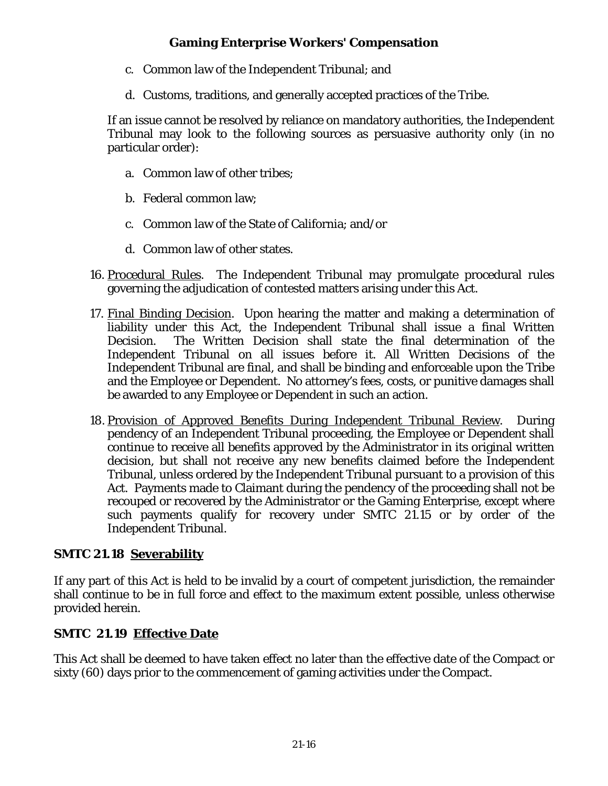- c. Common law of the Independent Tribunal; and
- d. Customs, traditions, and generally accepted practices of the Tribe.

If an issue cannot be resolved by reliance on mandatory authorities, the Independent Tribunal may look to the following sources as persuasive authority only (in no particular order):

- a. Common law of other tribes;
- b. Federal common law;
- c. Common law of the State of California; and/or
- d. Common law of other states.
- 16. Procedural Rules. The Independent Tribunal may promulgate procedural rules governing the adjudication of contested matters arising under this Act.
- 17. Final Binding Decision. Upon hearing the matter and making a determination of liability under this Act, the Independent Tribunal shall issue a final Written Decision. The Written Decision shall state the final determination of the Independent Tribunal on all issues before it. All Written Decisions of the Independent Tribunal are final, and shall be binding and enforceable upon the Tribe and the Employee or Dependent. No attorney's fees, costs, or punitive damages shall be awarded to any Employee or Dependent in such an action.
- 18. Provision of Approved Benefits During Independent Tribunal Review. During pendency of an Independent Tribunal proceeding, the Employee or Dependent shall continue to receive all benefits approved by the Administrator in its original written decision, but shall not receive any new benefits claimed before the Independent Tribunal, unless ordered by the Independent Tribunal pursuant to a provision of this Act. Payments made to Claimant during the pendency of the proceeding shall not be recouped or recovered by the Administrator or the Gaming Enterprise, except where such payments qualify for recovery under SMTC 21.15 or by order of the Independent Tribunal.

# **SMTC 21.18 Severability**

If any part of this Act is held to be invalid by a court of competent jurisdiction, the remainder shall continue to be in full force and effect to the maximum extent possible, unless otherwise provided herein.

# **SMTC 21.19 Effective Date**

This Act shall be deemed to have taken effect no later than the effective date of the Compact or sixty (60) days prior to the commencement of gaming activities under the Compact.